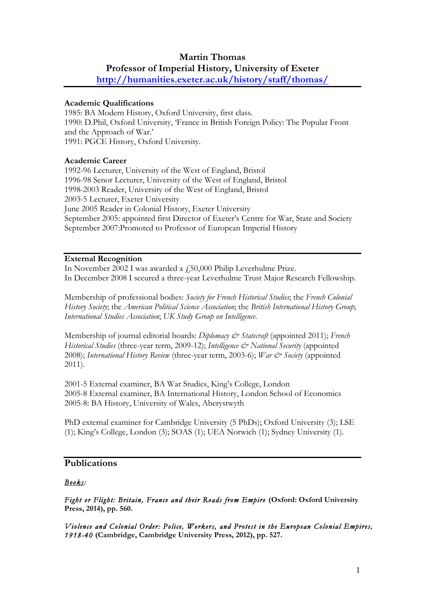# **Martin Thomas**

#### **Professor of Imperial History, University of Exeter**

**http://humanities.exeter.ac.uk/history/staff/thomas/**

#### **Academic Qualifications**

1985: BA Modern History, Oxford University, first class. 1990: D.Phil, Oxford University, 'France in British Foreign Policy: The Popular Front and the Approach of War.' 1991: PGCE History, Oxford University.

## **Academic Career**

1992-96 Lecturer, University of the West of England, Bristol 1996-98 Senor Lecturer, University of the West of England, Bristol 1998-2003 Reader, University of the West of England, Bristol 2003-5 Lecturer, Exeter University June 2005 Reader in Colonial History, Exeter University September 2005: appointed first Director of Exeter's Centre for War, State and Society September 2007:Promoted to Professor of European Imperial History

#### **External Recognition**

In November 2002 I was awarded a £50,000 Philip Leverhulme Prize. In December 2008 I secured a three-year Leverhulme Trust Major Research Fellowship.

Membership of professional bodies: *Society for French Historical Studies*; the *French Colonial History Society*; the *American Political Science Association*; the *British International History Group*; *International Studies Association*; *UK Study Group on Intelligence*.

Membership of journal editorial boards: *Diplomacy & Statecraft* (appointed 2011); *French Historical Studies* (three-year term, 2009-12); *Intelligence & National Security* (appointed 2008); *International History Review* (three-year term, 2003-6); *War & Society* (appointed 2011).

2001-5 External examiner, BA War Studies, King's College, London 2005-8 External examiner, BA International History, London School of Economics 2005-8: BA History, University of Wales, Aberystwyth

PhD external examiner for Cambridge University (5 PhDs); Oxford University (3); LSE (1); King's College, London (3); SOAS (1); UEA Norwich (1); Sydney University (1).

## **Publications**

#### *Books:*

*Fight or Flight: Britain, France and their Roads from Empire* **(Oxford: Oxford University Press, 2014), pp. 560.**

*Violence and Colonial Order: Police, Workers, and Protest in the European Colonial Empires, 1918-40* **(Cambridge, Cambridge University Press, 2012), pp. 527.**